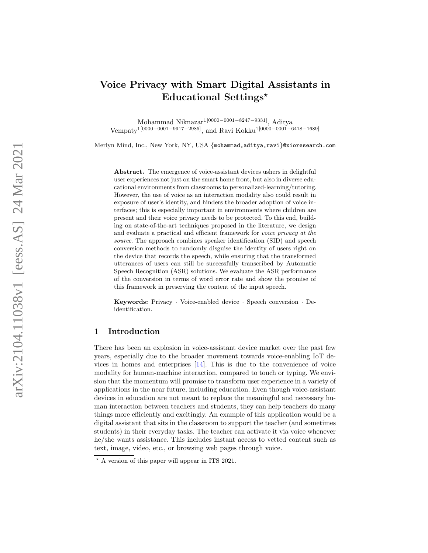# Voice Privacy with Smart Digital Assistants in Educational Settings\*

Mohammad Niknazar1[0000 −0001 −8247 <sup>−</sup>9331], Aditya Vempaty<sup>1</sup><sup>[0000–0001–9917–2985]</sup>, and Ravi Kokku<sup>1</sup><sup>[0000–0001–6418–1689]</sup>

Merlyn Mind, Inc., New York, NY, USA {mohammad,aditya,ravi }@xioresearch.com

Abstract. The emergence of voice-assistant devices ushers in delightful user experiences not just on the smart home front, but also in diverse educational environments from classrooms to personalized-learning/tutoring. However, the use of voice as an interaction modality also could result in exposure of user's identity, and hinders the broader adoption of voice interfaces; this is especially important in environments where children are present and their voice privacy needs to be protected. To this end, building on state-of-the-art techniques proposed in the literature, we design and evaluate a practical and efficient framework for voice privacy at the source. The approach combines speaker identification (SID) and speech conversion methods to randomly disguise the identity of users right on the device that records the speech, while ensuring that the transformed utterances of users can still be successfully transcribed by Automatic Speech Recognition (ASR) solutions. We evaluate the ASR performance of the conversion in terms of word error rate and show the promise of this framework in preserving the content of the input speech.

Keywords: Privacy · Voice-enabled device · Speech conversion · Deidentification.

#### 1 Introduction

There has been an explosion in voice-assistant device market over the past few years, especially due to the broader movement towards voice-enabling IoT devices in homes and enterprises [\[14\]](#page-8-0). This is due to the convenience of voice modality for human-machine interaction, compared to touch or typing. We envision that the momentum will promise to transform user experience in a variety of applications in the near future, including education. Even though voice-assistant devices in education are not meant to replace the meaningful and necessary human interaction between teachers and students, they can help teachers do many things more efficiently and excitingly. An example of this application would be a digital assistant that sits in the classroom to support the teacher (and sometimes students) in their everyday tasks. The teacher can activate it via voice whenever he/she wants assistance. This includes instant access to vetted content such as text, image, video, etc., or browsing web pages through voice.

<sup>?</sup> A version of this paper will appear in ITS 2021.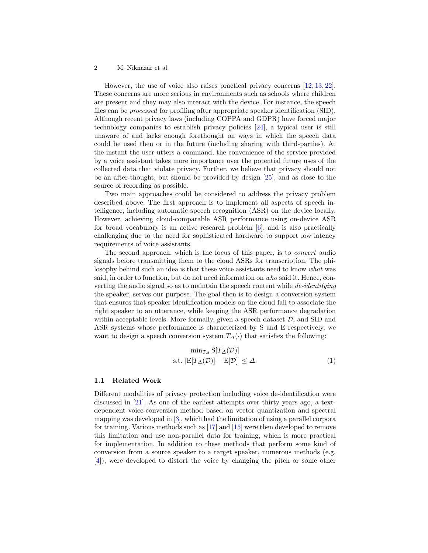#### 2 M. Niknazar et al.

However, the use of voice also raises practical privacy concerns [\[12,](#page-8-1) [13,](#page-8-2) [22\]](#page-9-0). These concerns are more serious in environments such as schools where children are present and they may also interact with the device. For instance, the speech files can be processed for profiling after appropriate speaker identification (SID). Although recent privacy laws (including COPPA and GDPR) have forced major technology companies to establish privacy policies [\[24\]](#page-9-1), a typical user is still unaware of and lacks enough forethought on ways in which the speech data could be used then or in the future (including sharing with third-parties). At the instant the user utters a command, the convenience of the service provided by a voice assistant takes more importance over the potential future uses of the collected data that violate privacy. Further, we believe that privacy should not be an after-thought, but should be provided by design [\[25\]](#page-9-2), and as close to the source of recording as possible.

Two main approaches could be considered to address the privacy problem described above. The first approach is to implement all aspects of speech intelligence, including automatic speech recognition (ASR) on the device locally. However, achieving cloud-comparable ASR performance using on-device ASR for broad vocabulary is an active research problem  $[6]$ , and is also practically challenging due to the need for sophisticated hardware to support low latency requirements of voice assistants.

The second approach, which is the focus of this paper, is to convert audio signals before transmitting them to the cloud ASRs for transcription. The philosophy behind such an idea is that these voice assistants need to know what was said, in order to function, but do not need information on who said it. Hence, converting the audio signal so as to maintain the speech content while de-identifying the speaker, serves our purpose. The goal then is to design a conversion system that ensures that speaker identification models on the cloud fail to associate the right speaker to an utterance, while keeping the ASR performance degradation within acceptable levels. More formally, given a speech dataset  $D$ , and SID and ASR systems whose performance is characterized by S and E respectively, we want to design a speech conversion system  $T_{\Delta}(\cdot)$  that satisfies the following:

<span id="page-1-0"></span>
$$
\min_{T_{\Delta}} \mathcal{S}[T_{\Delta}(\mathcal{D})]
$$
  
s.t.  $|\mathcal{E}[T_{\Delta}(\mathcal{D})] - \mathcal{E}[\mathcal{D}]| \leq \Delta.$  (1)

#### 1.1 Related Work

Different modalities of privacy protection including voice de-identification were discussed in [\[21\]](#page-8-4). As one of the earliest attempts over thirty years ago, a textdependent voice-conversion method based on vector quantization and spectral mapping was developed in [\[3\]](#page-7-0), which had the limitation of using a parallel corpora for training. Various methods such as [\[17\]](#page-8-5) and [\[15\]](#page-8-6) were then developed to remove this limitation and use non-parallel data for training, which is more practical for implementation. In addition to these methods that perform some kind of conversion from a source speaker to a target speaker, numerous methods (e.g. [\[4\]](#page-7-1)), were developed to distort the voice by changing the pitch or some other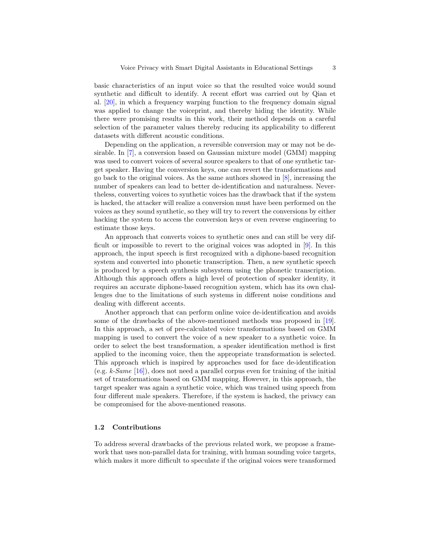basic characteristics of an input voice so that the resulted voice would sound synthetic and difficult to identify. A recent effort was carried out by Qian et al. [\[20\]](#page-8-7), in which a frequency warping function to the frequency domain signal was applied to change the voiceprint, and thereby hiding the identity. While there were promising results in this work, their method depends on a careful selection of the parameter values thereby reducing its applicability to different datasets with different acoustic conditions.

Depending on the application, a reversible conversion may or may not be desirable. In [\[7\]](#page-8-8), a conversion based on Gaussian mixture model (GMM) mapping was used to convert voices of several source speakers to that of one synthetic target speaker. Having the conversion keys, one can revert the transformations and go back to the original voices. As the same authors showed in [\[8\]](#page-8-9), increasing the number of speakers can lead to better de-identification and naturalness. Nevertheless, converting voices to synthetic voices has the drawback that if the system is hacked, the attacker will realize a conversion must have been performed on the voices as they sound synthetic, so they will try to revert the conversions by either hacking the system to access the conversion keys or even reverse engineering to estimate those keys.

An approach that converts voices to synthetic ones and can still be very difficult or impossible to revert to the original voices was adopted in [\[9\]](#page-8-10). In this approach, the input speech is first recognized with a diphone-based recognition system and converted into phonetic transcription. Then, a new synthetic speech is produced by a speech synthesis subsystem using the phonetic transcription. Although this approach offers a high level of protection of speaker identity, it requires an accurate diphone-based recognition system, which has its own challenges due to the limitations of such systems in different noise conditions and dealing with different accents.

Another approach that can perform online voice de-identification and avoids some of the drawbacks of the above-mentioned methods was proposed in [\[19\]](#page-8-11). In this approach, a set of pre-calculated voice transformations based on GMM mapping is used to convert the voice of a new speaker to a synthetic voice. In order to select the best transformation, a speaker identification method is first applied to the incoming voice, then the appropriate transformation is selected. This approach which is inspired by approaches used for face de-identification  $(e.g. k-Same [16])$  $(e.g. k-Same [16])$  $(e.g. k-Same [16])$ , does not need a parallel corpus even for training of the initial set of transformations based on GMM mapping. However, in this approach, the target speaker was again a synthetic voice, which was trained using speech from four different male speakers. Therefore, if the system is hacked, the privacy can be compromised for the above-mentioned reasons.

#### 1.2 Contributions

To address several drawbacks of the previous related work, we propose a framework that uses non-parallel data for training, with human sounding voice targets, which makes it more difficult to speculate if the original voices were transformed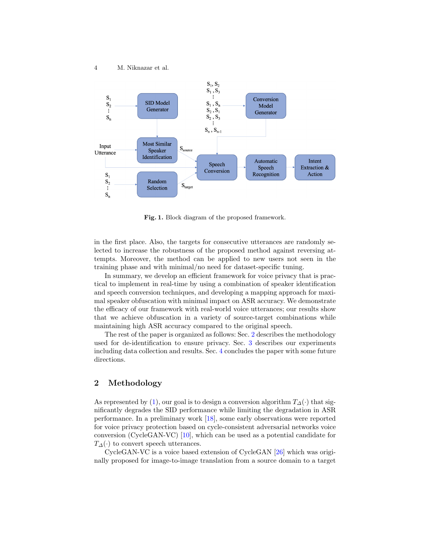

<span id="page-3-1"></span>Fig. 1. Block diagram of the proposed framework.

in the first place. Also, the targets for consecutive utterances are randomly selected to increase the robustness of the proposed method against reversing attempts. Moreover, the method can be applied to new users not seen in the training phase and with minimal/no need for dataset-specific tuning.

In summary, we develop an efficient framework for voice privacy that is practical to implement in real-time by using a combination of speaker identification and speech conversion techniques, and developing a mapping approach for maximal speaker obfuscation with minimal impact on ASR accuracy. We demonstrate the efficacy of our framework with real-world voice utterances; our results show that we achieve obfuscation in a variety of source-target combinations while maintaining high ASR accuracy compared to the original speech.

The rest of the paper is organized as follows: Sec. [2](#page-3-0) describes the methodology used for de-identification to ensure privacy. Sec. [3](#page-5-0) describes our experiments including data collection and results. Sec. [4](#page-7-2) concludes the paper with some future directions.

## <span id="page-3-0"></span>2 Methodology

As represented by [\(1\)](#page-1-0), our goal is to design a conversion algorithm  $T_{\Delta}(\cdot)$  that significantly degrades the SID performance while limiting the degradation in ASR performance. In a preliminary work [\[18\]](#page-8-13), some early observations were reported for voice privacy protection based on cycle-consistent adversarial networks voice conversion (CycleGAN-VC) [\[10\]](#page-8-14), which can be used as a potential candidate for  $T_{\Delta}(\cdot)$  to convert speech utterances.

CycleGAN-VC is a voice based extension of CycleGAN [\[26\]](#page-9-3) which was originally proposed for image-to-image translation from a source domain to a target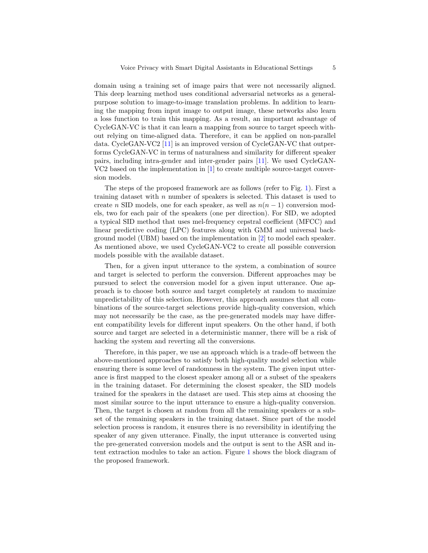domain using a training set of image pairs that were not necessarily aligned. This deep learning method uses conditional adversarial networks as a generalpurpose solution to image-to-image translation problems. In addition to learning the mapping from input image to output image, these networks also learn a loss function to train this mapping. As a result, an important advantage of CycleGAN-VC is that it can learn a mapping from source to target speech without relying on time-aligned data. Therefore, it can be applied on non-parallel data. CycleGAN-VC2 [\[11\]](#page-8-15) is an improved version of CycleGAN-VC that outperforms CycleGAN-VC in terms of naturalness and similarity for different speaker pairs, including intra-gender and inter-gender pairs [\[11\]](#page-8-15). We used CycleGAN-VC2 based on the implementation in [\[1\]](#page-7-3) to create multiple source-target conversion models.

The steps of the proposed framework are as follows (refer to Fig. [1\)](#page-3-1). First a training dataset with  $n$  number of speakers is selected. This dataset is used to create n SID models, one for each speaker, as well as  $n(n-1)$  conversion models, two for each pair of the speakers (one per direction). For SID, we adopted a typical SID method that uses mel-frequency cepstral coefficient (MFCC) and linear predictive coding (LPC) features along with GMM and universal background model (UBM) based on the implementation in [\[2\]](#page-7-4) to model each speaker. As mentioned above, we used CycleGAN-VC2 to create all possible conversion models possible with the available dataset.

Then, for a given input utterance to the system, a combination of source and target is selected to perform the conversion. Different approaches may be pursued to select the conversion model for a given input utterance. One approach is to choose both source and target completely at random to maximize unpredictability of this selection. However, this approach assumes that all combinations of the source-target selections provide high-quality conversion, which may not necessarily be the case, as the pre-generated models may have different compatibility levels for different input speakers. On the other hand, if both source and target are selected in a deterministic manner, there will be a risk of hacking the system and reverting all the conversions.

Therefore, in this paper, we use an approach which is a trade-off between the above-mentioned approaches to satisfy both high-quality model selection while ensuring there is some level of randomness in the system. The given input utterance is first mapped to the closest speaker among all or a subset of the speakers in the training dataset. For determining the closest speaker, the SID models trained for the speakers in the dataset are used. This step aims at choosing the most similar source to the input utterance to ensure a high-quality conversion. Then, the target is chosen at random from all the remaining speakers or a subset of the remaining speakers in the training dataset. Since part of the model selection process is random, it ensures there is no reversibility in identifying the speaker of any given utterance. Finally, the input utterance is converted using the pre-generated conversion models and the output is sent to the ASR and intent extraction modules to take an action. Figure [1](#page-3-1) shows the block diagram of the proposed framework.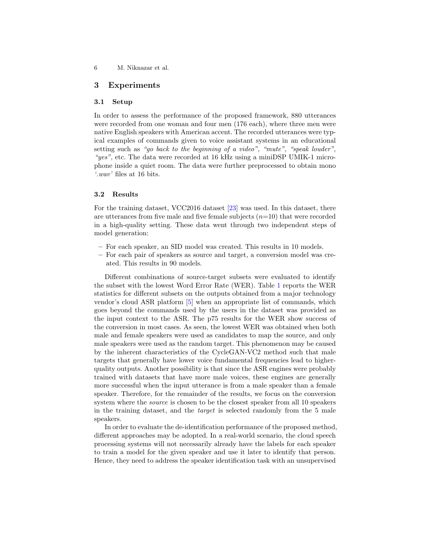## <span id="page-5-0"></span>3 Experiments

#### 3.1 Setup

In order to assess the performance of the proposed framework, 880 utterances were recorded from one woman and four men (176 each), where three men were native English speakers with American accent. The recorded utterances were typical examples of commands given to voice assistant systems in an educational setting such as "go back to the beginning of a video", "mute", "speak louder", "yes", etc. The data were recorded at 16 kHz using a miniDSP UMIK-1 microphone inside a quiet room. The data were further preprocessed to obtain mono '.wav' files at 16 bits.

#### 3.2 Results

For the training dataset, VCC2016 dataset [\[23\]](#page-9-4) was used. In this dataset, there are utterances from five male and five female subjects  $(n=10)$  that were recorded in a high-quality setting. These data went through two independent steps of model generation:

- For each speaker, an SID model was created. This results in 10 models.
- For each pair of speakers as source and target, a conversion model was created. This results in 90 models.

Different combinations of source-target subsets were evaluated to identify the subset with the lowest Word Error Rate (WER). Table [1](#page-6-0) reports the WER statistics for different subsets on the outputs obtained from a major technology vendor's cloud ASR platform [\[5\]](#page-7-5) when an appropriate list of commands, which goes beyond the commands used by the users in the dataset was provided as the input context to the ASR. The p75 results for the WER show success of the conversion in most cases. As seen, the lowest WER was obtained when both male and female speakers were used as candidates to map the source, and only male speakers were used as the random target. This phenomenon may be caused by the inherent characteristics of the CycleGAN-VC2 method such that male targets that generally have lower voice fundamental frequencies lead to higherquality outputs. Another possibility is that since the ASR engines were probably trained with datasets that have more male voices, these engines are generally more successful when the input utterance is from a male speaker than a female speaker. Therefore, for the remainder of the results, we focus on the conversion system where the *source* is chosen to be the closest speaker from all 10 speakers in the training dataset, and the target is selected randomly from the 5 male speakers.

In order to evaluate the de-identification performance of the proposed method, different approaches may be adopted. In a real-world scenario, the cloud speech processing systems will not necessarily already have the labels for each speaker to train a model for the given speaker and use it later to identify that person. Hence, they need to address the speaker identification task with an unsupervised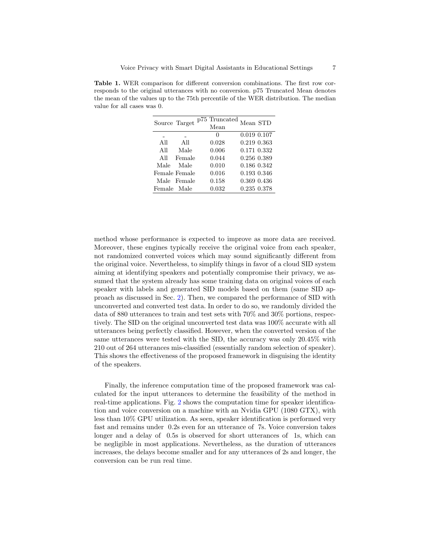<span id="page-6-0"></span>Table 1. WER comparison for different conversion combinations. The first row corresponds to the original utterances with no conversion. p75 Truncated Mean denotes the mean of the values up to the 75th percentile of the WER distribution. The median value for all cases was 0.

| Source Target |               | p75 Truncated<br>Mean | Mean STD    |
|---------------|---------------|-----------------------|-------------|
|               |               | $\mathbf{0}$          | 0.019 0.107 |
| All           | All           | 0.028                 | 0.219 0.363 |
| All           | Male          | 0.006                 | 0.171 0.332 |
| All           | Female        | 0.044                 | 0.256 0.389 |
| Male          | Male          | 0.010                 | 0.186 0.342 |
|               | Female Female | 0.016                 | 0.193 0.346 |
|               | Male Female   | 0.158                 | 0.369 0.436 |
| Female Male   |               | 0.032                 | 0.235 0.378 |

method whose performance is expected to improve as more data are received. Moreover, these engines typically receive the original voice from each speaker, not randomized converted voices which may sound significantly different from the original voice. Nevertheless, to simplify things in favor of a cloud SID system aiming at identifying speakers and potentially compromise their privacy, we assumed that the system already has some training data on original voices of each speaker with labels and generated SID models based on them (same SID approach as discussed in Sec. [2\)](#page-3-0). Then, we compared the performance of SID with unconverted and converted test data. In order to do so, we randomly divided the data of 880 utterances to train and test sets with 70% and 30% portions, respectively. The SID on the original unconverted test data was 100% accurate with all utterances being perfectly classified. However, when the converted version of the same utterances were tested with the SID, the accuracy was only 20.45% with 210 out of 264 utterances mis-classified (essentially random selection of speaker). This shows the effectiveness of the proposed framework in disguising the identity of the speakers.

Finally, the inference computation time of the proposed framework was calculated for the input utterances to determine the feasibility of the method in real-time applications. Fig. [2](#page-7-6) shows the computation time for speaker identification and voice conversion on a machine with an Nvidia GPU (1080 GTX), with less than 10% GPU utilization. As seen, speaker identification is performed very fast and remains under 0.2s even for an utterance of 7s. Voice conversion takes longer and a delay of 0.5s is observed for short utterances of 1s, which can be negligible in most applications. Nevertheless, as the duration of utterances increases, the delays become smaller and for any utterances of 2s and longer, the conversion can be run real time.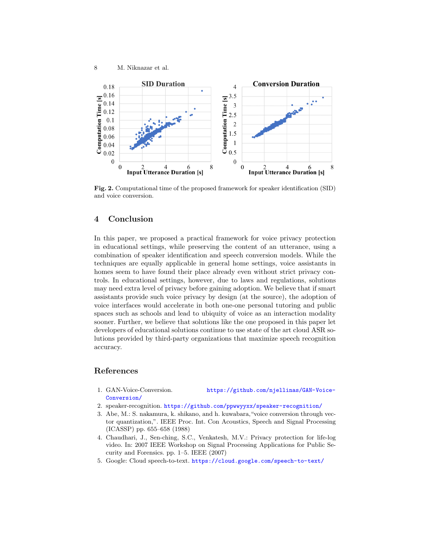

<span id="page-7-6"></span>Fig. 2. Computational time of the proposed framework for speaker identification (SID) and voice conversion.

## <span id="page-7-2"></span>4 Conclusion

In this paper, we proposed a practical framework for voice privacy protection in educational settings, while preserving the content of an utterance, using a combination of speaker identification and speech conversion models. While the techniques are equally applicable in general home settings, voice assistants in homes seem to have found their place already even without strict privacy controls. In educational settings, however, due to laws and regulations, solutions may need extra level of privacy before gaining adoption. We believe that if smart assistants provide such voice privacy by design (at the source), the adoption of voice interfaces would accelerate in both one-one personal tutoring and public spaces such as schools and lead to ubiquity of voice as an interaction modality sooner. Further, we believe that solutions like the one proposed in this paper let developers of educational solutions continue to use state of the art cloud ASR solutions provided by third-party organizations that maximize speech recognition accuracy.

## References

- <span id="page-7-3"></span>1. GAN-Voice-Conversion. [https://github.com/njellinas/GAN-Voice-](https://github.com/njellinas/GAN-Voice-Conversion/)[Conversion/](https://github.com/njellinas/GAN-Voice-Conversion/)
- <span id="page-7-4"></span>2. speaker-recognition. <https://github.com/ppwwyyxx/speaker-recognition/>
- <span id="page-7-0"></span>3. Abe, M.: S. nakamura, k. shikano, and h. kuwabara,"voice conversion through vector quantization,". IEEE Proc. Int. Con Acoustics, Speech and Signal Processing (ICASSP) pp. 655–658 (1988)
- <span id="page-7-1"></span>4. Chaudhari, J., Sen-ching, S.C., Venkatesh, M.V.: Privacy protection for life-log video. In: 2007 IEEE Workshop on Signal Processing Applications for Public Security and Forensics. pp. 1–5. IEEE (2007)
- <span id="page-7-5"></span>5. Google: Cloud speech-to-text. <https://cloud.google.com/speech-to-text/>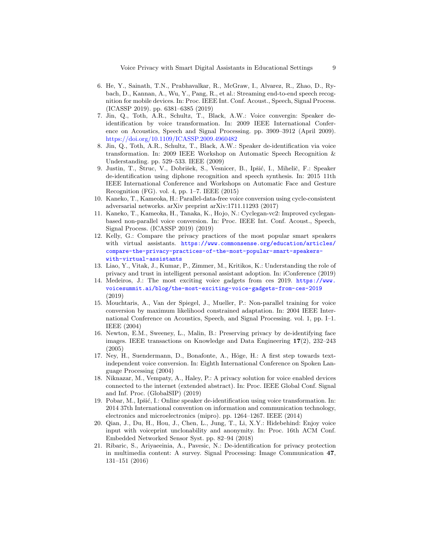- <span id="page-8-3"></span>6. He, Y., Sainath, T.N., Prabhavalkar, R., McGraw, I., Alvarez, R., Zhao, D., Rybach, D., Kannan, A., Wu, Y., Pang, R., et al.: Streaming end-to-end speech recognition for mobile devices. In: Proc. IEEE Int. Conf. Acoust., Speech, Signal Process. (ICASSP 2019). pp. 6381–6385 (2019)
- <span id="page-8-8"></span>7. Jin, Q., Toth, A.R., Schultz, T., Black, A.W.: Voice convergin: Speaker deidentification by voice transformation. In: 2009 IEEE International Conference on Acoustics, Speech and Signal Processing. pp. 3909–3912 (April 2009). <https://doi.org/10.1109/ICASSP.2009.4960482>
- <span id="page-8-9"></span>8. Jin, Q., Toth, A.R., Schultz, T., Black, A.W.: Speaker de-identification via voice transformation. In: 2009 IEEE Workshop on Automatic Speech Recognition & Understanding. pp. 529–533. IEEE (2009)
- <span id="page-8-10"></span>9. Justin, T., Struc, V., Dobrišek, S., Vesnicer, B., Ipšić, I., Mihelič, F.: Speaker de-identification using diphone recognition and speech synthesis. In: 2015 11th IEEE International Conference and Workshops on Automatic Face and Gesture Recognition (FG). vol. 4, pp. 1–7. IEEE (2015)
- <span id="page-8-14"></span>10. Kaneko, T., Kameoka, H.: Parallel-data-free voice conversion using cycle-consistent adversarial networks. arXiv preprint arXiv:1711.11293 (2017)
- <span id="page-8-15"></span>11. Kaneko, T., Kameoka, H., Tanaka, K., Hojo, N.: Cyclegan-vc2: Improved cycleganbased non-parallel voice conversion. In: Proc. IEEE Int. Conf. Acoust., Speech, Signal Process. (ICASSP 2019) (2019)
- <span id="page-8-1"></span>12. Kelly, G.: Compare the privacy practices of the most popular smart speakers with virtual assistants. [https://www.commonsense.org/education/articles/](https://www.commonsense.org/education/articles/compare-the-privacy-practices-of-the-most-popular-smart-speakers-with-virtual-assistants) [compare-the-privacy-practices-of-the-most-popular-smart-speakers](https://www.commonsense.org/education/articles/compare-the-privacy-practices-of-the-most-popular-smart-speakers-with-virtual-assistants)[with-virtual-assistants](https://www.commonsense.org/education/articles/compare-the-privacy-practices-of-the-most-popular-smart-speakers-with-virtual-assistants)
- <span id="page-8-2"></span>13. Liao, Y., Vitak, J., Kumar, P., Zimmer, M., Kritikos, K.: Understanding the role of privacy and trust in intelligent personal assistant adoption. In: iConference (2019)
- <span id="page-8-0"></span>14. Medeiros, J.: The most exciting voice gadgets from ces 2019. [https://www.](https://www.voicesummit.ai/blog/the-most-exciting-voice-gadgets-from-ces-2019) [voicesummit.ai/blog/the-most-exciting-voice-gadgets-from-ces-2019](https://www.voicesummit.ai/blog/the-most-exciting-voice-gadgets-from-ces-2019) (2019)
- <span id="page-8-6"></span>15. Mouchtaris, A., Van der Spiegel, J., Mueller, P.: Non-parallel training for voice conversion by maximum likelihood constrained adaptation. In: 2004 IEEE International Conference on Acoustics, Speech, and Signal Processing. vol. 1, pp. I–1. IEEE (2004)
- <span id="page-8-12"></span>16. Newton, E.M., Sweeney, L., Malin, B.: Preserving privacy by de-identifying face images. IEEE transactions on Knowledge and Data Engineering  $17(2)$ , 232–243 (2005)
- <span id="page-8-5"></span>17. Ney, H., Suendermann, D., Bonafonte, A., Höge, H.: A first step towards textindependent voice conversion. In: Eighth International Conference on Spoken Language Processing (2004)
- <span id="page-8-13"></span>18. Niknazar, M., Vempaty, A., Haley, P.: A privacy solution for voice enabled devices connected to the internet (extended abstract). In: Proc. IEEE Global Conf. Signal and Inf. Proc. (GlobalSIP) (2019)
- <span id="page-8-11"></span>19. Pobar, M., Ipšić, I.: Online speaker de-identification using voice transformation. In: 2014 37th International convention on information and communication technology, electronics and microelectronics (mipro). pp. 1264–1267. IEEE (2014)
- <span id="page-8-7"></span>20. Qian, J., Du, H., Hou, J., Chen, L., Jung, T., Li, X.Y.: Hidebehind: Enjoy voice input with voiceprint unclonability and anonymity. In: Proc. 16th ACM Conf. Embedded Networked Sensor Syst. pp. 82–94 (2018)
- <span id="page-8-4"></span>21. Ribaric, S., Ariyaeeinia, A., Pavesic, N.: De-identification for privacy protection in multimedia content: A survey. Signal Processing: Image Communication 47, 131–151 (2016)